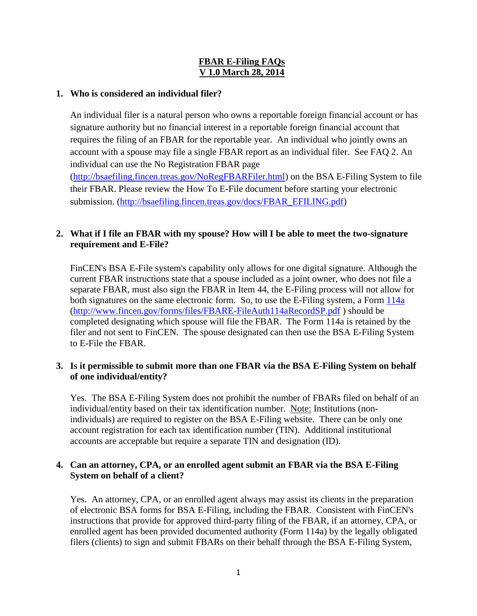# **FBAR E-Filing FAQs V 1.0 March 28, 2014**

# **1. Who is considered an individual filer?**

An individual filer is a natural person who owns a reportable foreign financial account or has signature authority but no financial interest in a reportable foreign financial account that requires the filing of an FBAR for the reportable year. An individual who jointly owns an account with a spouse may file a single FBAR report as an individual filer. See FAQ 2. An individual can use the No Registration FBAR page

[\(http://bsaefiling.fincen.treas.gov/NoRegFBARFiler.html\)](http://bsaefiling.fincen.treas.gov/NoRegFBARFiler.html) on the BSA E-Filing System to file their FBAR. Please review the How To E-File document before starting your electronic submission. [\(http://bsaefiling.fincen.treas.gov/docs/FBAR\\_EFILING.pdf\)](http://bsaefiling.fincen.treas.gov/docs/FBAR_EFILING.pdf)

# **2. What if I file an FBAR with my spouse? How will I be able to meet the two-signature requirement and E-File?**

FinCEN's BSA E-File system's capability only allows for one digital signature. Although the current FBAR instructions state that a spouse included as a joint owner, who does not file a separate FBAR, must also sign the FBAR in Item 44, the E-Filing process will not allow for both signatures on the same electronic form. So, to use the E-Filing system, a Form [114a](http://www.fincen.gov/forms/files/FBARE-FileAuth114aRecordSP.pdf) [\(http://www.fincen.gov/forms/files/FBARE-FileAuth114aRecordSP.pdf](http://www.fincen.gov/forms/files/FBARE-FileAuth114aRecordSP.pdf) ) should be completed designating which spouse will file the FBAR. The Form 114a is retained by the filer and not sent to FinCEN. The spouse designated can then use the BSA E-Filing System to E-File the FBAR.

# **3. Is it permissible to submit more than one FBAR via the BSA E-Filing System on behalf of one individual/entity?**

Yes. The BSA E-Filing System does not prohibit the number of FBARs filed on behalf of an individual/entity based on their tax identification number. Note: Institutions (nonindividuals) are required to register on the BSA E-Filing website. There can be only one account registration for each tax identification number (TIN). Additional institutional accounts are acceptable but require a separate TIN and designation (ID).

# **4. Can an attorney, CPA, or an enrolled agent submit an FBAR via the BSA E-Filing System on behalf of a client?**

Yes. An attorney, CPA, or an enrolled agent always may assist its clients in the preparation of electronic BSA forms for BSA E-Filing, including the FBAR. Consistent with FinCEN's instructions that provide for approved third-party filing of the FBAR, if an attorney, CPA, or enrolled agent has been provided documented authority (Form 114a) by the legally obligated filers (clients) to sign and submit FBARs on their behalf through the BSA E-Filing System,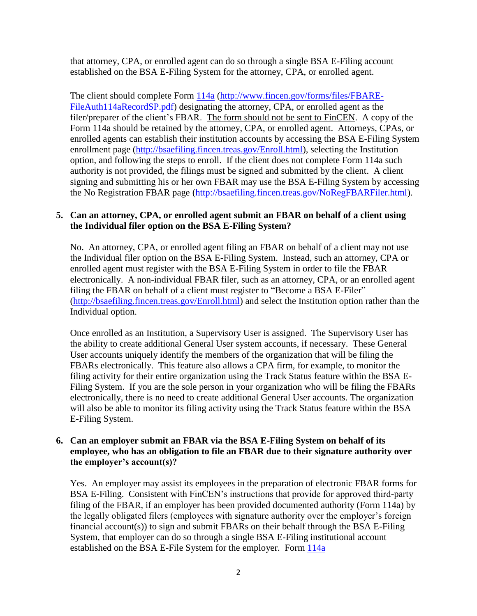that attorney, CPA, or enrolled agent can do so through a single BSA E-Filing account established on the BSA E-Filing System for the attorney, CPA, or enrolled agent.

The client should complete Form [114a](http://www.fincen.gov/forms/files/FBARE-FileAuth114aRecordSP.pdf) [\(http://www.fincen.gov/forms/files/FBARE-](http://www.fincen.gov/forms/files/FBARE-FileAuth114aRecordSP.pdf)[FileAuth114aRecordSP.pdf\)](http://www.fincen.gov/forms/files/FBARE-FileAuth114aRecordSP.pdf) designating the attorney, CPA, or enrolled agent as the filer/preparer of the client's FBAR. The form should not be sent to FinCEN. A copy of the Form 114a should be retained by the attorney, CPA, or enrolled agent. Attorneys, CPAs, or enrolled agents can establish their institution accounts by accessing the BSA E-Filing System enrollment page [\(http://bsaefiling.fincen.treas.gov/Enroll.html\)](http://bsaefiling.fincen.treas.gov/Enroll.html), selecting the Institution option, and following the steps to enroll. If the client does not complete Form 114a such authority is not provided, the filings must be signed and submitted by the client. A client signing and submitting his or her own FBAR may use the BSA E-Filing System by accessing the No Registration FBAR page [\(http://bsaefiling.fincen.treas.gov/NoRegFBARFiler.html\)](http://bsaefiling.fincen.treas.gov/NoRegFBARFiler.html).

#### **5. Can an attorney, CPA, or enrolled agent submit an FBAR on behalf of a client using the Individual filer option on the BSA E-Filing System?**

No. An attorney, CPA, or enrolled agent filing an FBAR on behalf of a client may not use the Individual filer option on the BSA E-Filing System. Instead, such an attorney, CPA or enrolled agent must register with the BSA E-Filing System in order to file the FBAR electronically. A non-individual FBAR filer, such as an attorney, CPA, or an enrolled agent filing the FBAR on behalf of a client must register to "Become a BSA E-Filer" [\(http://bsaefiling.fincen.treas.gov/Enroll.html\)](http://bsaefiling.fincen.treas.gov/Enroll.html) and select the Institution option rather than the Individual option.

Once enrolled as an Institution, a Supervisory User is assigned. The Supervisory User has the ability to create additional General User system accounts, if necessary. These General User accounts uniquely identify the members of the organization that will be filing the FBARs electronically. This feature also allows a CPA firm, for example, to monitor the filing activity for their entire organization using the Track Status feature within the BSA E-Filing System. If you are the sole person in your organization who will be filing the FBARs electronically, there is no need to create additional General User accounts. The organization will also be able to monitor its filing activity using the Track Status feature within the BSA E-Filing System.

#### **6. Can an employer submit an FBAR via the BSA E-Filing System on behalf of its employee, who has an obligation to file an FBAR due to their signature authority over the employer's account(s)?**

Yes. An employer may assist its employees in the preparation of electronic FBAR forms for BSA E-Filing. Consistent with FinCEN's instructions that provide for approved third-party filing of the FBAR, if an employer has been provided documented authority (Form 114a) by the legally obligated filers (employees with signature authority over the employer's foreign financial account(s)) to sign and submit FBARs on their behalf through the BSA E-Filing System, that employer can do so through a single BSA E-Filing institutional account established on the BSA E-File System for the employer. Form [114a](http://www.fincen.gov/forms/files/FBARE-FileAuth114aRecordSP.pdf)